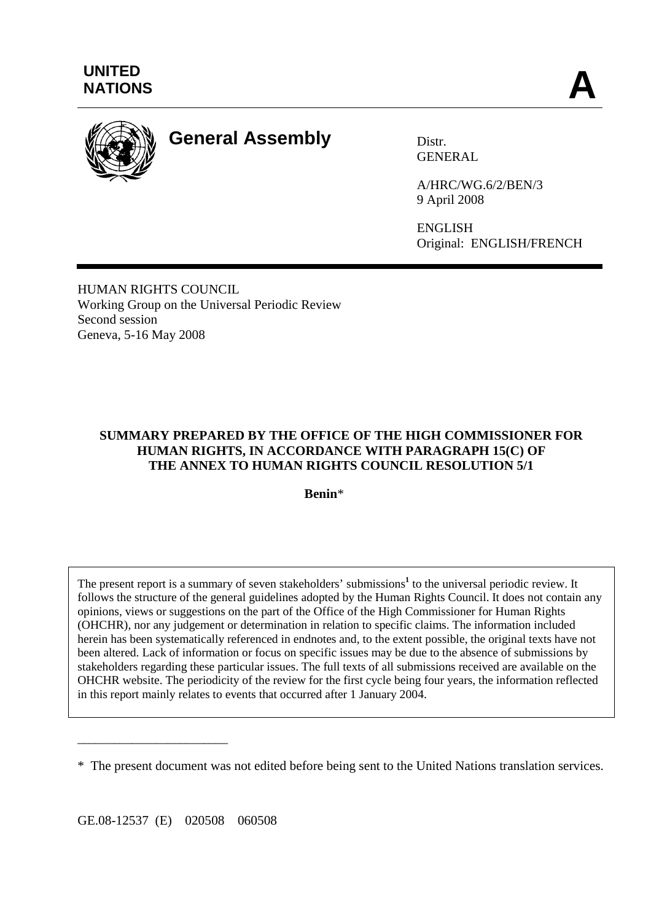

# **General Assembly** Distr.

**GENERAL** 

A/HRC/WG.6/2/BEN/3 9 April 2008

ENGLISH Original: ENGLISH/FRENCH

HUMAN RIGHTS COUNCIL Working Group on the Universal Periodic Review Second session Geneva, 5-16 May 2008

# **SUMMARY PREPARED BY THE OFFICE OF THE HIGH COMMISSIONER FOR HUMAN RIGHTS, IN ACCORDANCE WITH PARAGRAPH 15(C) OF THE ANNEX TO HUMAN RIGHTS COUNCIL RESOLUTION 5/1**

**Benin**\*

The present report is a summary of seven stakeholders' submissions<sup>1</sup> to the universal periodic review. It follows the structure of the general guidelines adopted by the Human Rights Council. It does not contain any opinions, views or suggestions on the part of the Office of the High Commissioner for Human Rights (OHCHR), nor any judgement or determination in relation to specific claims. The information included herein has been systematically referenced in endnotes and, to the extent possible, the original texts have not been altered. Lack of information or focus on specific issues may be due to the absence of submissions by stakeholders regarding these particular issues. The full texts of all submissions received are available on the OHCHR website. The periodicity of the review for the first cycle being four years, the information reflected in this report mainly relates to events that occurred after 1 January 2004.

GE.08-12537 (E) 020508 060508

\_\_\_\_\_\_\_\_\_\_\_\_\_\_\_\_\_\_\_\_\_\_\_\_\_

<sup>\*</sup> The present document was not edited before being sent to the United Nations translation services.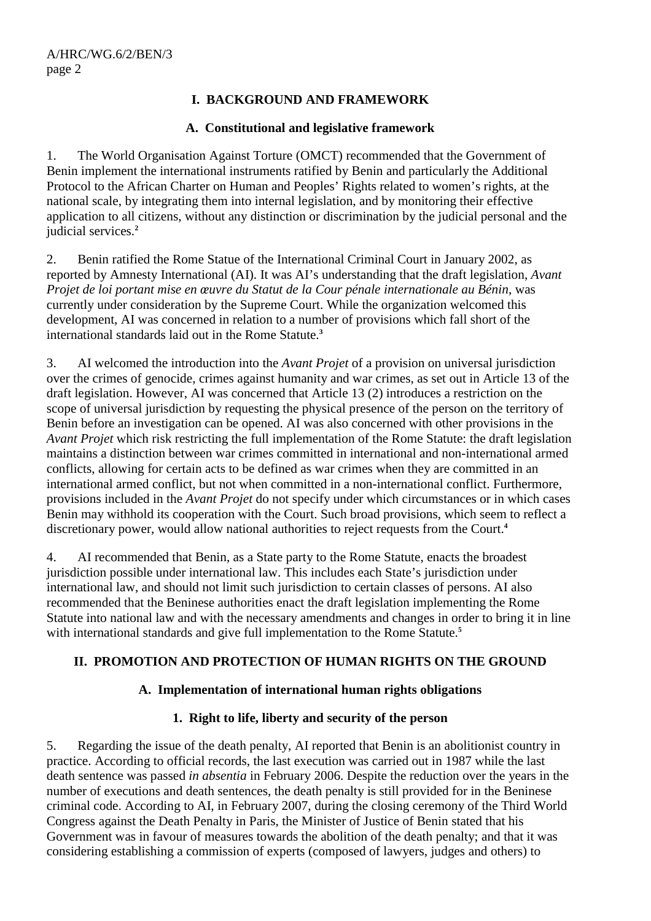# **I. BACKGROUND AND FRAMEWORK**

### **A. Constitutional and legislative framework**

1. The World Organisation Against Torture (OMCT) recommended that the Government of Benin implement the international instruments ratified by Benin and particularly the Additional Protocol to the African Charter on Human and Peoples' Rights related to women's rights, at the national scale, by integrating them into internal legislation, and by monitoring their effective application to all citizens, without any distinction or discrimination by the judicial personal and the judicial services.**<sup>2</sup>**

2. Benin ratified the Rome Statue of the International Criminal Court in January 2002, as reported by Amnesty International (AI). It was AI's understanding that the draft legislation, *Avant Projet de loi portant mise en œuvre du Statut de la Cour pénale internationale au Bénin*, was currently under consideration by the Supreme Court. While the organization welcomed this development, AI was concerned in relation to a number of provisions which fall short of the international standards laid out in the Rome Statute.**<sup>3</sup>**

3. AI welcomed the introduction into the *Avant Projet* of a provision on universal jurisdiction over the crimes of genocide, crimes against humanity and war crimes, as set out in Article 13 of the draft legislation. However, AI was concerned that Article 13 (2) introduces a restriction on the scope of universal jurisdiction by requesting the physical presence of the person on the territory of Benin before an investigation can be opened. AI was also concerned with other provisions in the *Avant Projet* which risk restricting the full implementation of the Rome Statute: the draft legislation maintains a distinction between war crimes committed in international and non-international armed conflicts, allowing for certain acts to be defined as war crimes when they are committed in an international armed conflict, but not when committed in a non-international conflict. Furthermore, provisions included in the *Avant Projet* do not specify under which circumstances or in which cases Benin may withhold its cooperation with the Court. Such broad provisions, which seem to reflect a discretionary power, would allow national authorities to reject requests from the Court.**<sup>4</sup>**

4. AI recommended that Benin, as a State party to the Rome Statute, enacts the broadest jurisdiction possible under international law. This includes each State's jurisdiction under international law, and should not limit such jurisdiction to certain classes of persons. AI also recommended that the Beninese authorities enact the draft legislation implementing the Rome Statute into national law and with the necessary amendments and changes in order to bring it in line with international standards and give full implementation to the Rome Statute.<sup>5</sup>

### **II. PROMOTION AND PROTECTION OF HUMAN RIGHTS ON THE GROUND**

### **A. Implementation of international human rights obligations**

### **1. Right to life, liberty and security of the person**

5. Regarding the issue of the death penalty, AI reported that Benin is an abolitionist country in practice. According to official records, the last execution was carried out in 1987 while the last death sentence was passed *in absentia* in February 2006. Despite the reduction over the years in the number of executions and death sentences, the death penalty is still provided for in the Beninese criminal code. According to AI, in February 2007, during the closing ceremony of the Third World Congress against the Death Penalty in Paris, the Minister of Justice of Benin stated that his Government was in favour of measures towards the abolition of the death penalty; and that it was considering establishing a commission of experts (composed of lawyers, judges and others) to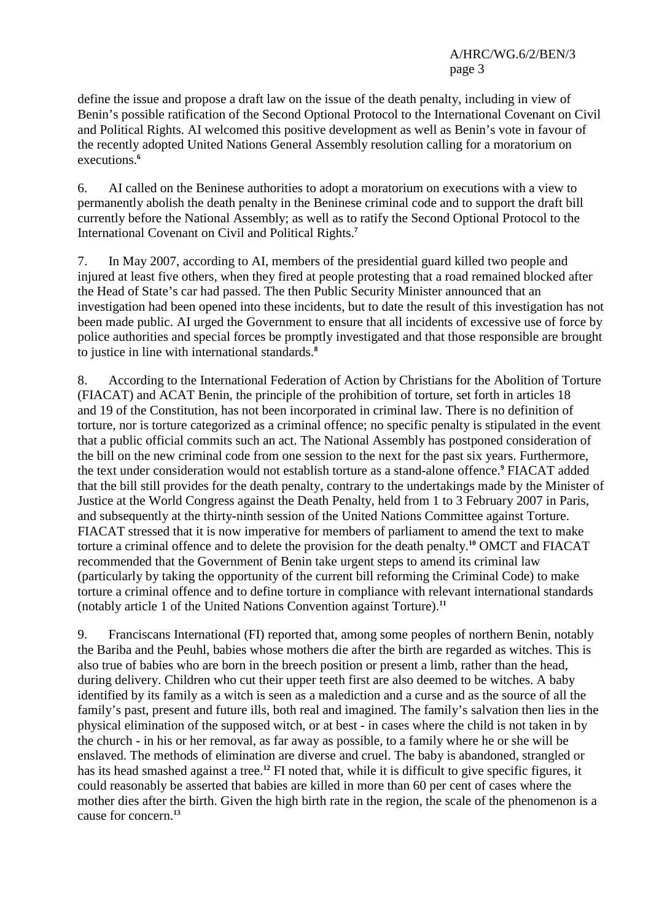define the issue and propose a draft law on the issue of the death penalty, including in view of Benin's possible ratification of the Second Optional Protocol to the International Covenant on Civil and Political Rights. AI welcomed this positive development as well as Benin's vote in favour of the recently adopted United Nations General Assembly resolution calling for a moratorium on executions.**<sup>6</sup>**

6. AI called on the Beninese authorities to adopt a moratorium on executions with a view to permanently abolish the death penalty in the Beninese criminal code and to support the draft bill currently before the National Assembly; as well as to ratify the Second Optional Protocol to the International Covenant on Civil and Political Rights.**<sup>7</sup>**

7. In May 2007, according to AI, members of the presidential guard killed two people and injured at least five others, when they fired at people protesting that a road remained blocked after the Head of State's car had passed. The then Public Security Minister announced that an investigation had been opened into these incidents, but to date the result of this investigation has not been made public. AI urged the Government to ensure that all incidents of excessive use of force by police authorities and special forces be promptly investigated and that those responsible are brought to justice in line with international standards.**<sup>8</sup>**

8. According to the International Federation of Action by Christians for the Abolition of Torture (FIACAT) and ACAT Benin, the principle of the prohibition of torture, set forth in articles 18 and 19 of the Constitution, has not been incorporated in criminal law. There is no definition of torture, nor is torture categorized as a criminal offence; no specific penalty is stipulated in the event that a public official commits such an act. The National Assembly has postponed consideration of the bill on the new criminal code from one session to the next for the past six years. Furthermore, the text under consideration would not establish torture as a stand-alone offence.**<sup>9</sup>** FIACAT added that the bill still provides for the death penalty, contrary to the undertakings made by the Minister of Justice at the World Congress against the Death Penalty, held from 1 to 3 February 2007 in Paris, and subsequently at the thirty-ninth session of the United Nations Committee against Torture. FIACAT stressed that it is now imperative for members of parliament to amend the text to make torture a criminal offence and to delete the provision for the death penalty.**<sup>10</sup>** OMCT and FIACAT recommended that the Government of Benin take urgent steps to amend its criminal law (particularly by taking the opportunity of the current bill reforming the Criminal Code) to make torture a criminal offence and to define torture in compliance with relevant international standards (notably article 1 of the United Nations Convention against Torture).**<sup>11</sup>**

9. Franciscans International (FI) reported that, among some peoples of northern Benin, notably the Bariba and the Peuhl, babies whose mothers die after the birth are regarded as witches. This is also true of babies who are born in the breech position or present a limb, rather than the head, during delivery. Children who cut their upper teeth first are also deemed to be witches. A baby identified by its family as a witch is seen as a malediction and a curse and as the source of all the family's past, present and future ills, both real and imagined. The family's salvation then lies in the physical elimination of the supposed witch, or at best - in cases where the child is not taken in by the church - in his or her removal, as far away as possible, to a family where he or she will be enslaved. The methods of elimination are diverse and cruel. The baby is abandoned, strangled or has its head smashed against a tree.**<sup>12</sup>** FI noted that, while it is difficult to give specific figures, it could reasonably be asserted that babies are killed in more than 60 per cent of cases where the mother dies after the birth. Given the high birth rate in the region, the scale of the phenomenon is a cause for concern.**13**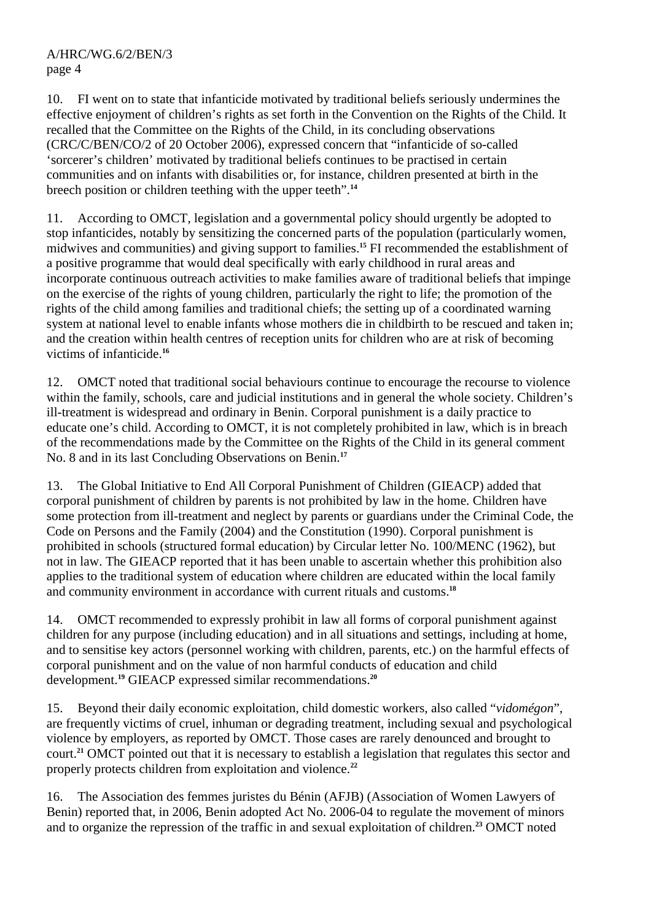10. FI went on to state that infanticide motivated by traditional beliefs seriously undermines the effective enjoyment of children's rights as set forth in the Convention on the Rights of the Child. It recalled that the Committee on the Rights of the Child, in its concluding observations (CRC/C/BEN/CO/2 of 20 October 2006), expressed concern that "infanticide of so-called 'sorcerer's children' motivated by traditional beliefs continues to be practised in certain communities and on infants with disabilities or, for instance, children presented at birth in the breech position or children teething with the upper teeth".**<sup>14</sup>**

11. According to OMCT, legislation and a governmental policy should urgently be adopted to stop infanticides, notably by sensitizing the concerned parts of the population (particularly women, midwives and communities) and giving support to families.**<sup>15</sup>** FI recommended the establishment of a positive programme that would deal specifically with early childhood in rural areas and incorporate continuous outreach activities to make families aware of traditional beliefs that impinge on the exercise of the rights of young children, particularly the right to life; the promotion of the rights of the child among families and traditional chiefs; the setting up of a coordinated warning system at national level to enable infants whose mothers die in childbirth to be rescued and taken in; and the creation within health centres of reception units for children who are at risk of becoming victims of infanticide.**<sup>16</sup>**

12. OMCT noted that traditional social behaviours continue to encourage the recourse to violence within the family, schools, care and judicial institutions and in general the whole society. Children's ill-treatment is widespread and ordinary in Benin. Corporal punishment is a daily practice to educate one's child. According to OMCT, it is not completely prohibited in law, which is in breach of the recommendations made by the Committee on the Rights of the Child in its general comment No. 8 and in its last Concluding Observations on Benin.**<sup>17</sup>**

13. The Global Initiative to End All Corporal Punishment of Children (GIEACP) added that corporal punishment of children by parents is not prohibited by law in the home. Children have some protection from ill-treatment and neglect by parents or guardians under the Criminal Code, the Code on Persons and the Family (2004) and the Constitution (1990). Corporal punishment is prohibited in schools (structured formal education) by Circular letter No. 100/MENC (1962), but not in law. The GIEACP reported that it has been unable to ascertain whether this prohibition also applies to the traditional system of education where children are educated within the local family and community environment in accordance with current rituals and customs.**<sup>18</sup>**

14. OMCT recommended to expressly prohibit in law all forms of corporal punishment against children for any purpose (including education) and in all situations and settings, including at home, and to sensitise key actors (personnel working with children, parents, etc.) on the harmful effects of corporal punishment and on the value of non harmful conducts of education and child development.**<sup>19</sup>** GIEACP expressed similar recommendations.**<sup>20</sup>**

15. Beyond their daily economic exploitation, child domestic workers, also called "*vidomégon*", are frequently victims of cruel, inhuman or degrading treatment, including sexual and psychological violence by employers, as reported by OMCT. Those cases are rarely denounced and brought to court.**<sup>21</sup>** OMCT pointed out that it is necessary to establish a legislation that regulates this sector and properly protects children from exploitation and violence.**<sup>22</sup>**

16. The Association des femmes juristes du Bénin (AFJB) (Association of Women Lawyers of Benin) reported that, in 2006, Benin adopted Act No. 2006-04 to regulate the movement of minors and to organize the repression of the traffic in and sexual exploitation of children.**23** OMCT noted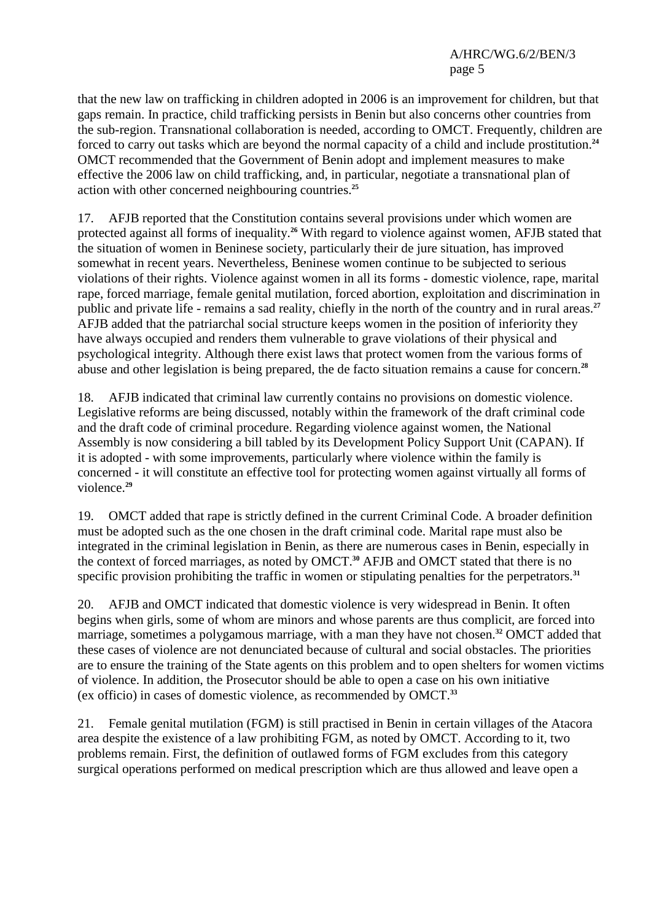that the new law on trafficking in children adopted in 2006 is an improvement for children, but that gaps remain. In practice, child trafficking persists in Benin but also concerns other countries from the sub-region. Transnational collaboration is needed, according to OMCT. Frequently, children are forced to carry out tasks which are beyond the normal capacity of a child and include prostitution.**<sup>24</sup>** OMCT recommended that the Government of Benin adopt and implement measures to make effective the 2006 law on child trafficking, and, in particular, negotiate a transnational plan of action with other concerned neighbouring countries.**<sup>25</sup>**

17. AFJB reported that the Constitution contains several provisions under which women are protected against all forms of inequality.**<sup>26</sup>** With regard to violence against women, AFJB stated that the situation of women in Beninese society, particularly their de jure situation, has improved somewhat in recent years. Nevertheless, Beninese women continue to be subjected to serious violations of their rights. Violence against women in all its forms - domestic violence, rape, marital rape, forced marriage, female genital mutilation, forced abortion, exploitation and discrimination in public and private life - remains a sad reality, chiefly in the north of the country and in rural areas.**<sup>27</sup>** AFJB added that the patriarchal social structure keeps women in the position of inferiority they have always occupied and renders them vulnerable to grave violations of their physical and psychological integrity. Although there exist laws that protect women from the various forms of abuse and other legislation is being prepared, the de facto situation remains a cause for concern.**<sup>28</sup>**

18. AFJB indicated that criminal law currently contains no provisions on domestic violence. Legislative reforms are being discussed, notably within the framework of the draft criminal code and the draft code of criminal procedure. Regarding violence against women, the National Assembly is now considering a bill tabled by its Development Policy Support Unit (CAPAN). If it is adopted - with some improvements, particularly where violence within the family is concerned - it will constitute an effective tool for protecting women against virtually all forms of violence.**<sup>29</sup>**

19. OMCT added that rape is strictly defined in the current Criminal Code. A broader definition must be adopted such as the one chosen in the draft criminal code. Marital rape must also be integrated in the criminal legislation in Benin, as there are numerous cases in Benin, especially in the context of forced marriages, as noted by OMCT.**<sup>30</sup>** AFJB and OMCT stated that there is no specific provision prohibiting the traffic in women or stipulating penalties for the perpetrators.<sup>31</sup>

20. AFJB and OMCT indicated that domestic violence is very widespread in Benin. It often begins when girls, some of whom are minors and whose parents are thus complicit, are forced into marriage, sometimes a polygamous marriage, with a man they have not chosen.**<sup>32</sup>** OMCT added that these cases of violence are not denunciated because of cultural and social obstacles. The priorities are to ensure the training of the State agents on this problem and to open shelters for women victims of violence. In addition, the Prosecutor should be able to open a case on his own initiative (ex officio) in cases of domestic violence, as recommended by OMCT.**<sup>33</sup>**

21. Female genital mutilation (FGM) is still practised in Benin in certain villages of the Atacora area despite the existence of a law prohibiting FGM, as noted by OMCT. According to it, two problems remain. First, the definition of outlawed forms of FGM excludes from this category surgical operations performed on medical prescription which are thus allowed and leave open a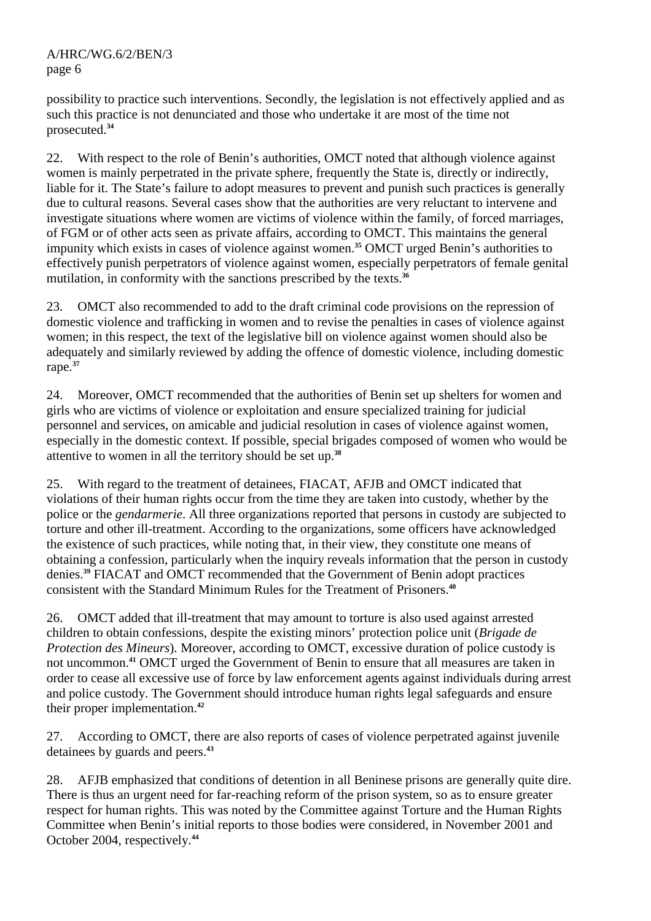possibility to practice such interventions. Secondly, the legislation is not effectively applied and as such this practice is not denunciated and those who undertake it are most of the time not prosecuted.**<sup>34</sup>**

22. With respect to the role of Benin's authorities, OMCT noted that although violence against women is mainly perpetrated in the private sphere, frequently the State is, directly or indirectly, liable for it. The State's failure to adopt measures to prevent and punish such practices is generally due to cultural reasons. Several cases show that the authorities are very reluctant to intervene and investigate situations where women are victims of violence within the family, of forced marriages, of FGM or of other acts seen as private affairs, according to OMCT. This maintains the general impunity which exists in cases of violence against women.**<sup>35</sup>** OMCT urged Benin's authorities to effectively punish perpetrators of violence against women, especially perpetrators of female genital mutilation, in conformity with the sanctions prescribed by the texts.<sup>36</sup>

23. OMCT also recommended to add to the draft criminal code provisions on the repression of domestic violence and trafficking in women and to revise the penalties in cases of violence against women; in this respect, the text of the legislative bill on violence against women should also be adequately and similarly reviewed by adding the offence of domestic violence, including domestic rape.**<sup>37</sup>**

24. Moreover, OMCT recommended that the authorities of Benin set up shelters for women and girls who are victims of violence or exploitation and ensure specialized training for judicial personnel and services, on amicable and judicial resolution in cases of violence against women, especially in the domestic context. If possible, special brigades composed of women who would be attentive to women in all the territory should be set up.**<sup>38</sup>**

25. With regard to the treatment of detainees, FIACAT, AFJB and OMCT indicated that violations of their human rights occur from the time they are taken into custody, whether by the police or the *gendarmerie*. All three organizations reported that persons in custody are subjected to torture and other ill-treatment. According to the organizations, some officers have acknowledged the existence of such practices, while noting that, in their view, they constitute one means of obtaining a confession, particularly when the inquiry reveals information that the person in custody denies.**<sup>39</sup>** FIACAT and OMCT recommended that the Government of Benin adopt practices consistent with the Standard Minimum Rules for the Treatment of Prisoners.**<sup>40</sup>**

26. OMCT added that ill-treatment that may amount to torture is also used against arrested children to obtain confessions, despite the existing minors' protection police unit (*Brigade de Protection des Mineurs*). Moreover, according to OMCT, excessive duration of police custody is not uncommon.**<sup>41</sup>** OMCT urged the Government of Benin to ensure that all measures are taken in order to cease all excessive use of force by law enforcement agents against individuals during arrest and police custody. The Government should introduce human rights legal safeguards and ensure their proper implementation.**<sup>42</sup>**

27. According to OMCT, there are also reports of cases of violence perpetrated against juvenile detainees by guards and peers.**<sup>43</sup>**

28. AFJB emphasized that conditions of detention in all Beninese prisons are generally quite dire. There is thus an urgent need for far-reaching reform of the prison system, so as to ensure greater respect for human rights. This was noted by the Committee against Torture and the Human Rights Committee when Benin's initial reports to those bodies were considered, in November 2001 and October 2004, respectively.**44**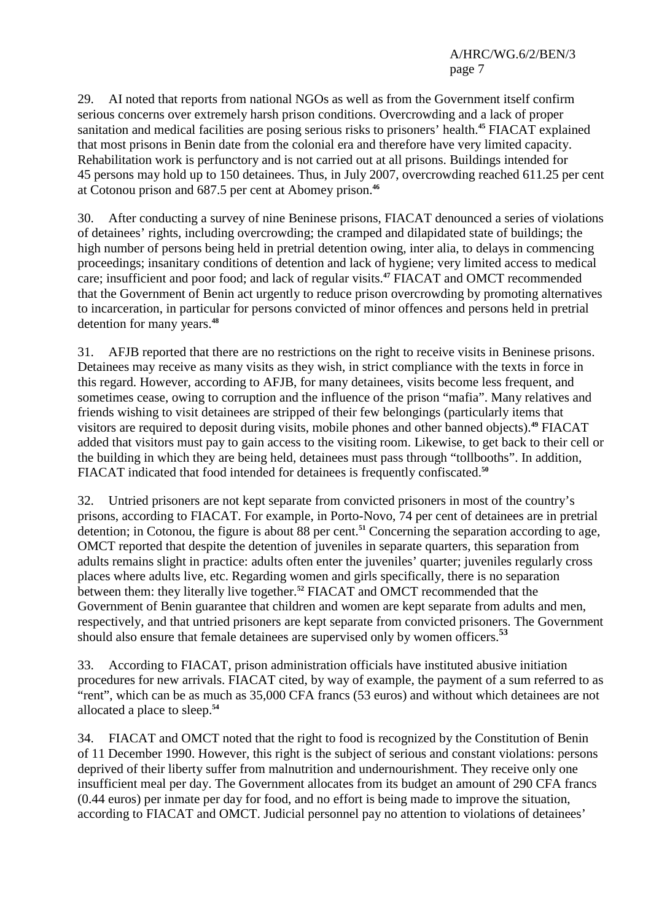29. AI noted that reports from national NGOs as well as from the Government itself confirm serious concerns over extremely harsh prison conditions. Overcrowding and a lack of proper sanitation and medical facilities are posing serious risks to prisoners' health.**<sup>45</sup>** FIACAT explained that most prisons in Benin date from the colonial era and therefore have very limited capacity. Rehabilitation work is perfunctory and is not carried out at all prisons. Buildings intended for 45 persons may hold up to 150 detainees. Thus, in July 2007, overcrowding reached 611.25 per cent at Cotonou prison and 687.5 per cent at Abomey prison.**<sup>46</sup>**

30. After conducting a survey of nine Beninese prisons, FIACAT denounced a series of violations of detainees' rights, including overcrowding; the cramped and dilapidated state of buildings; the high number of persons being held in pretrial detention owing, inter alia, to delays in commencing proceedings; insanitary conditions of detention and lack of hygiene; very limited access to medical care; insufficient and poor food; and lack of regular visits.**<sup>47</sup>** FIACAT and OMCT recommended that the Government of Benin act urgently to reduce prison overcrowding by promoting alternatives to incarceration, in particular for persons convicted of minor offences and persons held in pretrial detention for many years.**<sup>48</sup>**

31. AFJB reported that there are no restrictions on the right to receive visits in Beninese prisons. Detainees may receive as many visits as they wish, in strict compliance with the texts in force in this regard. However, according to AFJB, for many detainees, visits become less frequent, and sometimes cease, owing to corruption and the influence of the prison "mafia". Many relatives and friends wishing to visit detainees are stripped of their few belongings (particularly items that visitors are required to deposit during visits, mobile phones and other banned objects).**<sup>49</sup>** FIACAT added that visitors must pay to gain access to the visiting room. Likewise, to get back to their cell or the building in which they are being held, detainees must pass through "tollbooths". In addition, FIACAT indicated that food intended for detainees is frequently confiscated.**<sup>50</sup>**

32. Untried prisoners are not kept separate from convicted prisoners in most of the country's prisons, according to FIACAT. For example, in Porto-Novo, 74 per cent of detainees are in pretrial detention; in Cotonou, the figure is about 88 per cent.**<sup>51</sup>** Concerning the separation according to age, OMCT reported that despite the detention of juveniles in separate quarters, this separation from adults remains slight in practice: adults often enter the juveniles' quarter; juveniles regularly cross places where adults live, etc. Regarding women and girls specifically, there is no separation between them: they literally live together.**<sup>52</sup>** FIACAT and OMCT recommended that the Government of Benin guarantee that children and women are kept separate from adults and men, respectively, and that untried prisoners are kept separate from convicted prisoners. The Government should also ensure that female detainees are supervised only by women officers.**<sup>53</sup>**

33. According to FIACAT, prison administration officials have instituted abusive initiation procedures for new arrivals. FIACAT cited, by way of example, the payment of a sum referred to as "rent", which can be as much as 35,000 CFA francs (53 euros) and without which detainees are not allocated a place to sleep.**<sup>54</sup>**

34. FIACAT and OMCT noted that the right to food is recognized by the Constitution of Benin of 11 December 1990. However, this right is the subject of serious and constant violations: persons deprived of their liberty suffer from malnutrition and undernourishment. They receive only one insufficient meal per day. The Government allocates from its budget an amount of 290 CFA francs (0.44 euros) per inmate per day for food, and no effort is being made to improve the situation, according to FIACAT and OMCT. Judicial personnel pay no attention to violations of detainees'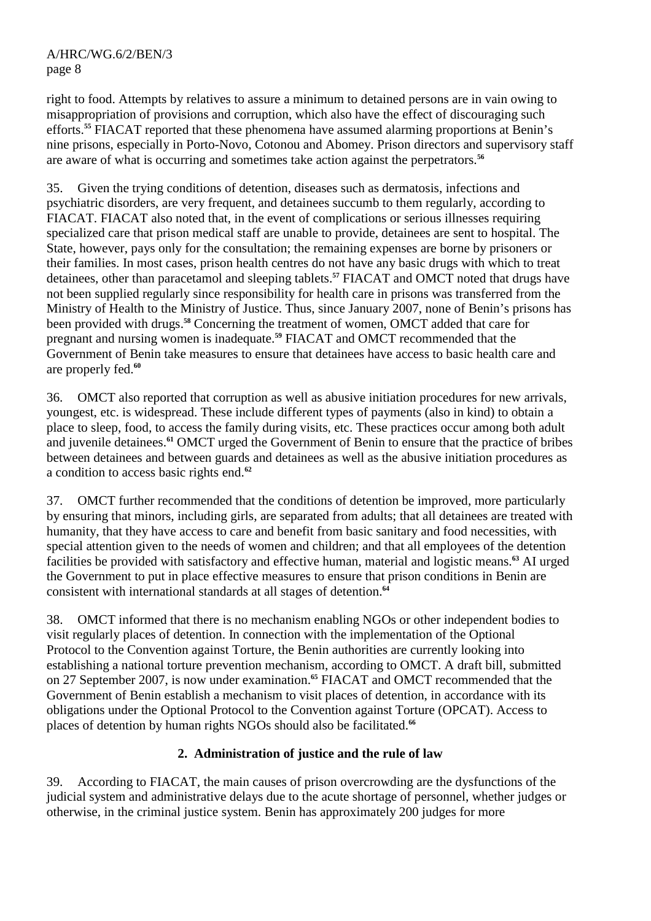right to food. Attempts by relatives to assure a minimum to detained persons are in vain owing to misappropriation of provisions and corruption, which also have the effect of discouraging such efforts.**<sup>55</sup>** FIACAT reported that these phenomena have assumed alarming proportions at Benin's nine prisons, especially in Porto-Novo, Cotonou and Abomey. Prison directors and supervisory staff are aware of what is occurring and sometimes take action against the perpetrators.**<sup>56</sup>**

35. Given the trying conditions of detention, diseases such as dermatosis, infections and psychiatric disorders, are very frequent, and detainees succumb to them regularly, according to FIACAT. FIACAT also noted that, in the event of complications or serious illnesses requiring specialized care that prison medical staff are unable to provide, detainees are sent to hospital. The State, however, pays only for the consultation; the remaining expenses are borne by prisoners or their families. In most cases, prison health centres do not have any basic drugs with which to treat detainees, other than paracetamol and sleeping tablets.**<sup>57</sup>** FIACAT and OMCT noted that drugs have not been supplied regularly since responsibility for health care in prisons was transferred from the Ministry of Health to the Ministry of Justice. Thus, since January 2007, none of Benin's prisons has been provided with drugs.**<sup>58</sup>** Concerning the treatment of women, OMCT added that care for pregnant and nursing women is inadequate.**<sup>59</sup>** FIACAT and OMCT recommended that the Government of Benin take measures to ensure that detainees have access to basic health care and are properly fed.**<sup>60</sup>**

36. OMCT also reported that corruption as well as abusive initiation procedures for new arrivals, youngest, etc. is widespread. These include different types of payments (also in kind) to obtain a place to sleep, food, to access the family during visits, etc. These practices occur among both adult and juvenile detainees.**<sup>61</sup>** OMCT urged the Government of Benin to ensure that the practice of bribes between detainees and between guards and detainees as well as the abusive initiation procedures as a condition to access basic rights end.**<sup>62</sup>**

37. OMCT further recommended that the conditions of detention be improved, more particularly by ensuring that minors, including girls, are separated from adults; that all detainees are treated with humanity, that they have access to care and benefit from basic sanitary and food necessities, with special attention given to the needs of women and children; and that all employees of the detention facilities be provided with satisfactory and effective human, material and logistic means.**<sup>63</sup>** AI urged the Government to put in place effective measures to ensure that prison conditions in Benin are consistent with international standards at all stages of detention.**<sup>64</sup>**

38. OMCT informed that there is no mechanism enabling NGOs or other independent bodies to visit regularly places of detention. In connection with the implementation of the Optional Protocol to the Convention against Torture, the Benin authorities are currently looking into establishing a national torture prevention mechanism, according to OMCT. A draft bill, submitted on 27 September 2007, is now under examination.**<sup>65</sup>** FIACAT and OMCT recommended that the Government of Benin establish a mechanism to visit places of detention, in accordance with its obligations under the Optional Protocol to the Convention against Torture (OPCAT). Access to places of detention by human rights NGOs should also be facilitated.**<sup>66</sup>**

# **2. Administration of justice and the rule of law**

39. According to FIACAT, the main causes of prison overcrowding are the dysfunctions of the judicial system and administrative delays due to the acute shortage of personnel, whether judges or otherwise, in the criminal justice system. Benin has approximately 200 judges for more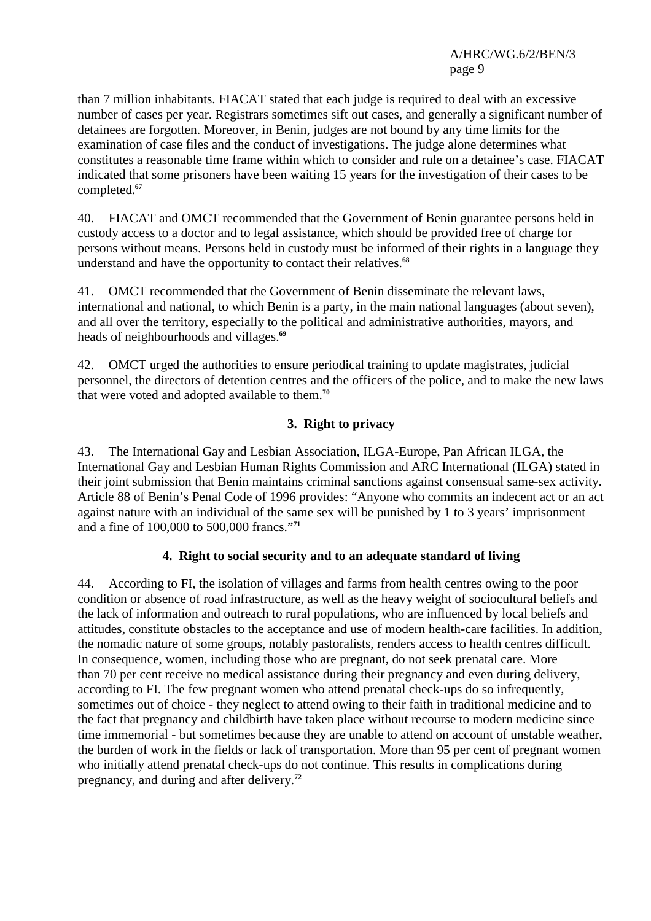than 7 million inhabitants. FIACAT stated that each judge is required to deal with an excessive number of cases per year. Registrars sometimes sift out cases, and generally a significant number of detainees are forgotten. Moreover, in Benin, judges are not bound by any time limits for the examination of case files and the conduct of investigations. The judge alone determines what constitutes a reasonable time frame within which to consider and rule on a detainee's case. FIACAT indicated that some prisoners have been waiting 15 years for the investigation of their cases to be completed**. 67**

40. FIACAT and OMCT recommended that the Government of Benin guarantee persons held in custody access to a doctor and to legal assistance, which should be provided free of charge for persons without means. Persons held in custody must be informed of their rights in a language they understand and have the opportunity to contact their relatives.**<sup>68</sup>**

41. OMCT recommended that the Government of Benin disseminate the relevant laws, international and national, to which Benin is a party, in the main national languages (about seven), and all over the territory, especially to the political and administrative authorities, mayors, and heads of neighbourhoods and villages.**<sup>69</sup>**

42. OMCT urged the authorities to ensure periodical training to update magistrates, judicial personnel, the directors of detention centres and the officers of the police, and to make the new laws that were voted and adopted available to them.**<sup>70</sup>**

# **3. Right to privacy**

43. The International Gay and Lesbian Association, ILGA-Europe, Pan African ILGA, the International Gay and Lesbian Human Rights Commission and ARC International (ILGA) stated in their joint submission that Benin maintains criminal sanctions against consensual same-sex activity. Article 88 of Benin's Penal Code of 1996 provides: "Anyone who commits an indecent act or an act against nature with an individual of the same sex will be punished by 1 to 3 years' imprisonment and a fine of 100,000 to 500,000 francs."**<sup>71</sup>**

### **4. Right to social security and to an adequate standard of living**

44. According to FI, the isolation of villages and farms from health centres owing to the poor condition or absence of road infrastructure, as well as the heavy weight of sociocultural beliefs and the lack of information and outreach to rural populations, who are influenced by local beliefs and attitudes, constitute obstacles to the acceptance and use of modern health-care facilities. In addition, the nomadic nature of some groups, notably pastoralists, renders access to health centres difficult. In consequence, women, including those who are pregnant, do not seek prenatal care. More than 70 per cent receive no medical assistance during their pregnancy and even during delivery, according to FI. The few pregnant women who attend prenatal check-ups do so infrequently, sometimes out of choice - they neglect to attend owing to their faith in traditional medicine and to the fact that pregnancy and childbirth have taken place without recourse to modern medicine since time immemorial - but sometimes because they are unable to attend on account of unstable weather, the burden of work in the fields or lack of transportation. More than 95 per cent of pregnant women who initially attend prenatal check-ups do not continue. This results in complications during pregnancy, and during and after delivery.**72**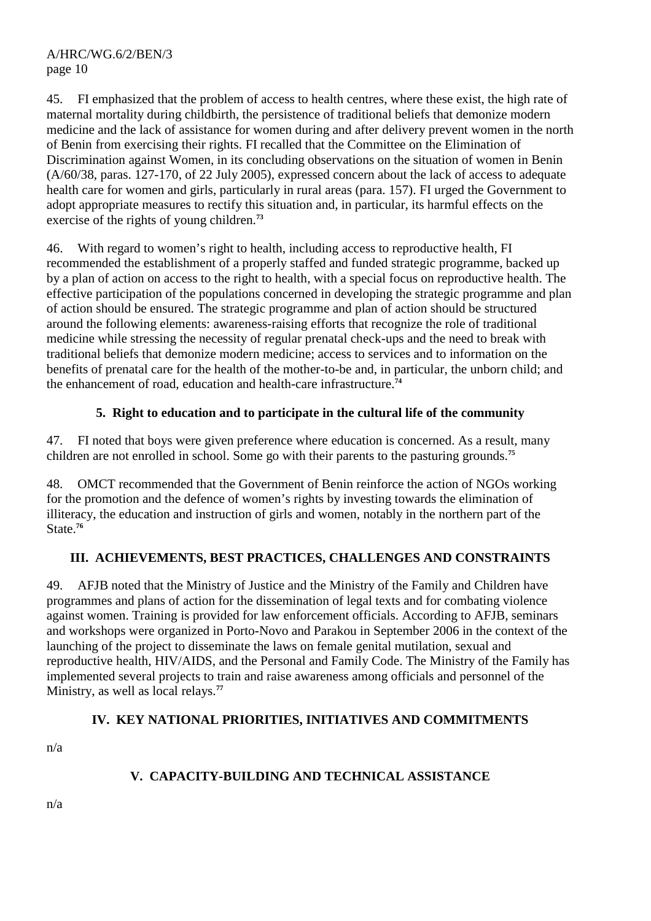45. FI emphasized that the problem of access to health centres, where these exist, the high rate of maternal mortality during childbirth, the persistence of traditional beliefs that demonize modern medicine and the lack of assistance for women during and after delivery prevent women in the north of Benin from exercising their rights. FI recalled that the Committee on the Elimination of Discrimination against Women, in its concluding observations on the situation of women in Benin (A/60/38, paras. 127-170, of 22 July 2005), expressed concern about the lack of access to adequate health care for women and girls, particularly in rural areas (para. 157). FI urged the Government to adopt appropriate measures to rectify this situation and, in particular, its harmful effects on the exercise of the rights of young children.**<sup>73</sup>**

46. With regard to women's right to health, including access to reproductive health, FI recommended the establishment of a properly staffed and funded strategic programme, backed up by a plan of action on access to the right to health, with a special focus on reproductive health. The effective participation of the populations concerned in developing the strategic programme and plan of action should be ensured. The strategic programme and plan of action should be structured around the following elements: awareness-raising efforts that recognize the role of traditional medicine while stressing the necessity of regular prenatal check-ups and the need to break with traditional beliefs that demonize modern medicine; access to services and to information on the benefits of prenatal care for the health of the mother-to-be and, in particular, the unborn child; and the enhancement of road, education and health-care infrastructure.**<sup>74</sup>**

# **5. Right to education and to participate in the cultural life of the community**

47. FI noted that boys were given preference where education is concerned. As a result, many children are not enrolled in school. Some go with their parents to the pasturing grounds.**<sup>75</sup>**

48. OMCT recommended that the Government of Benin reinforce the action of NGOs working for the promotion and the defence of women's rights by investing towards the elimination of illiteracy, the education and instruction of girls and women, notably in the northern part of the State.**<sup>76</sup>**

# **III. ACHIEVEMENTS, BEST PRACTICES, CHALLENGES AND CONSTRAINTS**

49. AFJB noted that the Ministry of Justice and the Ministry of the Family and Children have programmes and plans of action for the dissemination of legal texts and for combating violence against women. Training is provided for law enforcement officials. According to AFJB, seminars and workshops were organized in Porto-Novo and Parakou in September 2006 in the context of the launching of the project to disseminate the laws on female genital mutilation, sexual and reproductive health, HIV/AIDS, and the Personal and Family Code. The Ministry of the Family has implemented several projects to train and raise awareness among officials and personnel of the Ministry, as well as local relays.**<sup>77</sup>**

### **IV. KEY NATIONAL PRIORITIES, INITIATIVES AND COMMITMENTS**

n/a

# **V. CAPACITY-BUILDING AND TECHNICAL ASSISTANCE**

n/a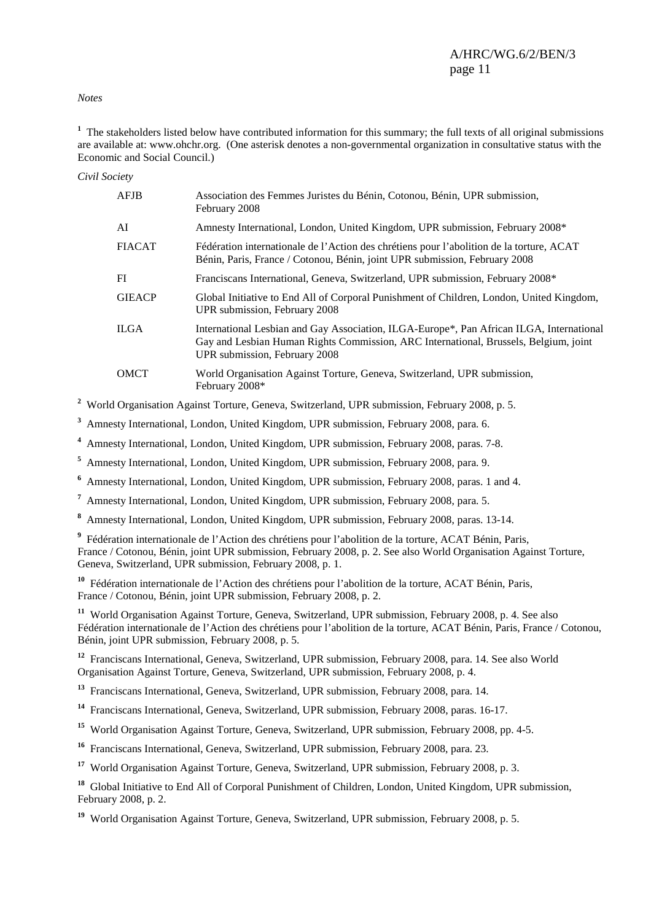#### *Notes*

<sup>1</sup> The stakeholders listed below have contributed information for this summary; the full texts of all original submissions are available at: www.ohchr.org. (One asterisk denotes a non-governmental organization in consultative status with the Economic and Social Council.)

*Civil Society* 

| <b>AFJB</b>   | Association des Femmes Juristes du Bénin, Cotonou, Bénin, UPR submission,<br>February 2008                                                                                                                        |
|---------------|-------------------------------------------------------------------------------------------------------------------------------------------------------------------------------------------------------------------|
| AI            | Amnesty International, London, United Kingdom, UPR submission, February 2008*                                                                                                                                     |
| <b>FIACAT</b> | Fédération internationale de l'Action des chrétiens pour l'abolition de la torture, ACAT<br>Bénin, Paris, France / Cotonou, Bénin, joint UPR submission, February 2008                                            |
| FI            | Franciscans International, Geneva, Switzerland, UPR submission, February 2008*                                                                                                                                    |
| <b>GIEACP</b> | Global Initiative to End All of Corporal Punishment of Children, London, United Kingdom,<br>UPR submission, February 2008                                                                                         |
| <b>ILGA</b>   | International Lesbian and Gay Association, ILGA-Europe*, Pan African ILGA, International<br>Gay and Lesbian Human Rights Commission, ARC International, Brussels, Belgium, joint<br>UPR submission, February 2008 |
| <b>OMCT</b>   | World Organisation Against Torture, Geneva, Switzerland, UPR submission,<br>February 2008*                                                                                                                        |

<sup>2</sup> World Organisation Against Torture, Geneva, Switzerland, UPR submission, February 2008, p. 5.

**3** Amnesty International, London, United Kingdom, UPR submission, February 2008, para. 6.

**4** Amnesty International, London, United Kingdom, UPR submission, February 2008, paras. 7-8.

**5** Amnesty International, London, United Kingdom, UPR submission, February 2008, para. 9.

**6** Amnesty International, London, United Kingdom, UPR submission, February 2008, paras. 1 and 4.

**7** Amnesty International, London, United Kingdom, UPR submission, February 2008, para. 5.

**8** Amnesty International, London, United Kingdom, UPR submission, February 2008, paras. 13-14.

**9** Fédération internationale de l'Action des chrétiens pour l'abolition de la torture, ACAT Bénin, Paris, France / Cotonou, Bénin, joint UPR submission, February 2008, p. 2. See also World Organisation Against Torture, Geneva, Switzerland, UPR submission, February 2008, p. 1.

<sup>10</sup> Fédération internationale de l'Action des chrétiens pour l'abolition de la torture, ACAT Bénin, Paris, France / Cotonou, Bénin, joint UPR submission, February 2008, p. 2.

**<sup>11</sup>** World Organisation Against Torture, Geneva, Switzerland, UPR submission, February 2008, p. 4. See also Fédération internationale de l'Action des chrétiens pour l'abolition de la torture, ACAT Bénin, Paris, France / Cotonou, Bénin, joint UPR submission, February 2008, p. 5.

**<sup>12</sup>** Franciscans International, Geneva, Switzerland, UPR submission, February 2008, para. 14. See also World Organisation Against Torture, Geneva, Switzerland, UPR submission, February 2008, p. 4.

**<sup>13</sup>** Franciscans International, Geneva, Switzerland, UPR submission, February 2008, para. 14.

**<sup>14</sup>** Franciscans International, Geneva, Switzerland, UPR submission, February 2008, paras. 16-17.

**<sup>15</sup>** World Organisation Against Torture, Geneva, Switzerland, UPR submission, February 2008, pp. 4-5.

<sup>16</sup> Franciscans International, Geneva, Switzerland, UPR submission, February 2008, para. 23.

**<sup>17</sup>** World Organisation Against Torture, Geneva, Switzerland, UPR submission, February 2008, p. 3.

<sup>18</sup> Global Initiative to End All of Corporal Punishment of Children, London, United Kingdom, UPR submission. February 2008, p. 2.

<sup>19</sup> World Organisation Against Torture, Geneva, Switzerland, UPR submission, February 2008, p. 5.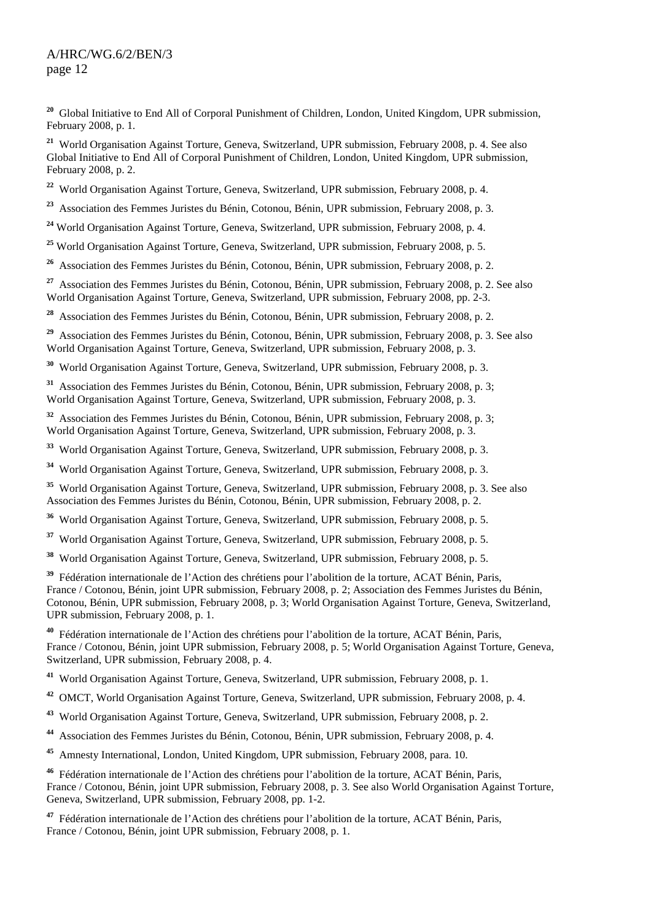<sup>20</sup> Global Initiative to End All of Corporal Punishment of Children, London, United Kingdom, UPR submission, February 2008, p. 1.

**<sup>21</sup>** World Organisation Against Torture, Geneva, Switzerland, UPR submission, February 2008, p. 4. See also Global Initiative to End All of Corporal Punishment of Children, London, United Kingdom, UPR submission, February 2008, p. 2.

<sup>22</sup> World Organisation Against Torture, Geneva, Switzerland, UPR submission, February 2008, p. 4.

**<sup>23</sup>** Association des Femmes Juristes du Bénin, Cotonou, Bénin, UPR submission, February 2008, p. 3.

<sup>24</sup> World Organisation Against Torture, Geneva, Switzerland, UPR submission, February 2008, p. 4.

<sup>25</sup> World Organisation Against Torture, Geneva, Switzerland, UPR submission, February 2008. p. 5.

**<sup>26</sup>** Association des Femmes Juristes du Bénin, Cotonou, Bénin, UPR submission, February 2008, p. 2.

**<sup>27</sup>** Association des Femmes Juristes du Bénin, Cotonou, Bénin, UPR submission, February 2008, p. 2. See also World Organisation Against Torture, Geneva, Switzerland, UPR submission, February 2008, pp. 2-3.

**<sup>28</sup>** Association des Femmes Juristes du Bénin, Cotonou, Bénin, UPR submission, February 2008, p. 2.

**<sup>29</sup>** Association des Femmes Juristes du Bénin, Cotonou, Bénin, UPR submission, February 2008, p. 3. See also World Organisation Against Torture, Geneva, Switzerland, UPR submission, February 2008, p. 3.

**<sup>30</sup>** World Organisation Against Torture, Geneva, Switzerland, UPR submission, February 2008, p. 3.

**<sup>31</sup>** Association des Femmes Juristes du Bénin, Cotonou, Bénin, UPR submission, February 2008, p. 3; World Organisation Against Torture, Geneva, Switzerland, UPR submission, February 2008, p. 3.

**<sup>32</sup>** Association des Femmes Juristes du Bénin, Cotonou, Bénin, UPR submission, February 2008, p. 3; World Organisation Against Torture, Geneva, Switzerland, UPR submission, February 2008, p. 3.

**<sup>33</sup>** World Organisation Against Torture, Geneva, Switzerland, UPR submission, February 2008, p. 3.

**<sup>34</sup>** World Organisation Against Torture, Geneva, Switzerland, UPR submission, February 2008, p. 3.

**<sup>35</sup>** World Organisation Against Torture, Geneva, Switzerland, UPR submission, February 2008, p. 3. See also Association des Femmes Juristes du Bénin, Cotonou, Bénin, UPR submission, February 2008, p. 2.

**<sup>36</sup>** World Organisation Against Torture, Geneva, Switzerland, UPR submission, February 2008, p. 5.

**<sup>37</sup>** World Organisation Against Torture, Geneva, Switzerland, UPR submission, February 2008, p. 5.

**<sup>38</sup>** World Organisation Against Torture, Geneva, Switzerland, UPR submission, February 2008, p. 5.

**<sup>39</sup>** Fédération internationale de l'Action des chrétiens pour l'abolition de la torture, ACAT Bénin, Paris, France / Cotonou, Bénin, joint UPR submission, February 2008, p. 2; Association des Femmes Juristes du Bénin, Cotonou, Bénin, UPR submission, February 2008, p. 3; World Organisation Against Torture, Geneva, Switzerland, UPR submission, February 2008, p. 1.

**<sup>40</sup>** Fédération internationale de l'Action des chrétiens pour l'abolition de la torture, ACAT Bénin, Paris, France / Cotonou, Bénin, joint UPR submission, February 2008, p. 5; World Organisation Against Torture, Geneva, Switzerland, UPR submission, February 2008, p. 4.

**<sup>41</sup>** World Organisation Against Torture, Geneva, Switzerland, UPR submission, February 2008, p. 1.

**<sup>42</sup>** OMCT, World Organisation Against Torture, Geneva, Switzerland, UPR submission, February 2008, p. 4.

**<sup>43</sup>** World Organisation Against Torture, Geneva, Switzerland, UPR submission, February 2008, p. 2.

**<sup>44</sup>** Association des Femmes Juristes du Bénin, Cotonou, Bénin, UPR submission, February 2008, p. 4.

**<sup>45</sup>** Amnesty International, London, United Kingdom, UPR submission, February 2008, para. 10.

**<sup>46</sup>** Fédération internationale de l'Action des chrétiens pour l'abolition de la torture, ACAT Bénin, Paris, France / Cotonou, Bénin, joint UPR submission, February 2008, p. 3. See also World Organisation Against Torture, Geneva, Switzerland, UPR submission, February 2008, pp. 1-2.

**<sup>47</sup>** Fédération internationale de l'Action des chrétiens pour l'abolition de la torture, ACAT Bénin, Paris, France / Cotonou, Bénin, joint UPR submission, February 2008, p. 1.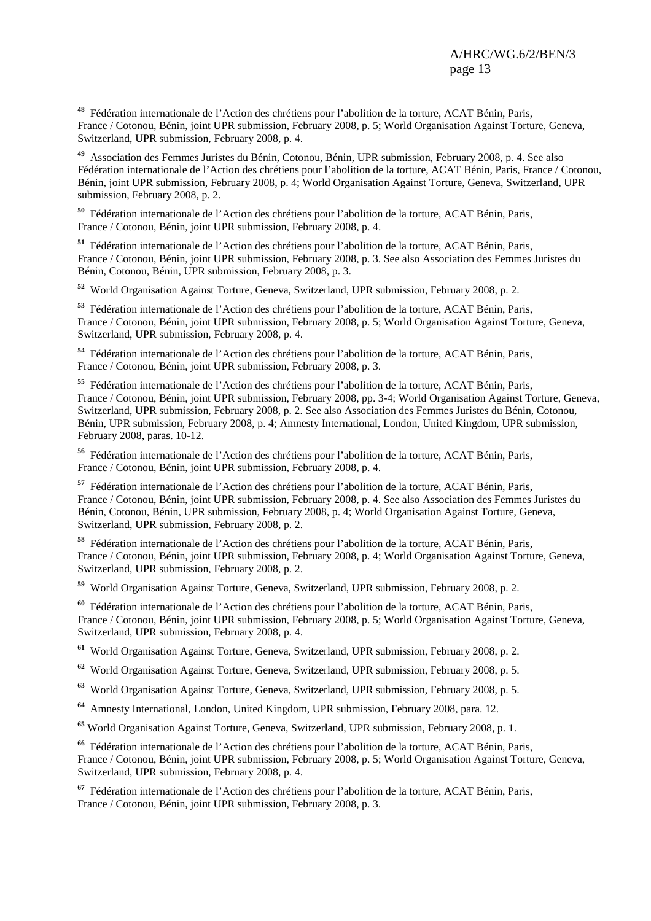**<sup>48</sup>** Fédération internationale de l'Action des chrétiens pour l'abolition de la torture, ACAT Bénin, Paris, France / Cotonou, Bénin, joint UPR submission, February 2008, p. 5; World Organisation Against Torture, Geneva, Switzerland, UPR submission, February 2008, p. 4.

**<sup>49</sup>** Association des Femmes Juristes du Bénin, Cotonou, Bénin, UPR submission, February 2008, p. 4. See also Fédération internationale de l'Action des chrétiens pour l'abolition de la torture, ACAT Bénin, Paris, France / Cotonou, Bénin, joint UPR submission, February 2008, p. 4; World Organisation Against Torture, Geneva, Switzerland, UPR submission, February 2008, p. 2.

**<sup>50</sup>** Fédération internationale de l'Action des chrétiens pour l'abolition de la torture, ACAT Bénin, Paris, France / Cotonou, Bénin, joint UPR submission, February 2008, p. 4.

**<sup>51</sup>** Fédération internationale de l'Action des chrétiens pour l'abolition de la torture, ACAT Bénin, Paris, France / Cotonou, Bénin, joint UPR submission, February 2008, p. 3. See also Association des Femmes Juristes du Bénin, Cotonou, Bénin, UPR submission, February 2008, p. 3.

**<sup>52</sup>** World Organisation Against Torture, Geneva, Switzerland, UPR submission, February 2008, p. 2.

**<sup>53</sup>** Fédération internationale de l'Action des chrétiens pour l'abolition de la torture, ACAT Bénin, Paris, France / Cotonou, Bénin, joint UPR submission, February 2008, p. 5; World Organisation Against Torture, Geneva, Switzerland, UPR submission, February 2008, p. 4.

**<sup>54</sup>** Fédération internationale de l'Action des chrétiens pour l'abolition de la torture, ACAT Bénin, Paris, France / Cotonou, Bénin, joint UPR submission, February 2008, p. 3.

**<sup>55</sup>** Fédération internationale de l'Action des chrétiens pour l'abolition de la torture, ACAT Bénin, Paris, France / Cotonou, Bénin, joint UPR submission, February 2008, pp. 3-4; World Organisation Against Torture, Geneva, Switzerland, UPR submission, February 2008, p. 2. See also Association des Femmes Juristes du Bénin, Cotonou, Bénin, UPR submission, February 2008, p. 4; Amnesty International, London, United Kingdom, UPR submission, February 2008, paras. 10-12.

**<sup>56</sup>** Fédération internationale de l'Action des chrétiens pour l'abolition de la torture, ACAT Bénin, Paris, France / Cotonou, Bénin, joint UPR submission, February 2008, p. 4.

**<sup>57</sup>** Fédération internationale de l'Action des chrétiens pour l'abolition de la torture, ACAT Bénin, Paris, France / Cotonou, Bénin, joint UPR submission, February 2008, p. 4. See also Association des Femmes Juristes du Bénin, Cotonou, Bénin, UPR submission, February 2008, p. 4; World Organisation Against Torture, Geneva, Switzerland, UPR submission, February 2008, p. 2.

**<sup>58</sup>** Fédération internationale de l'Action des chrétiens pour l'abolition de la torture, ACAT Bénin, Paris, France / Cotonou, Bénin, joint UPR submission, February 2008, p. 4; World Organisation Against Torture, Geneva, Switzerland, UPR submission, February 2008, p. 2.

**<sup>59</sup>** World Organisation Against Torture, Geneva, Switzerland, UPR submission, February 2008, p. 2.

**<sup>60</sup>** Fédération internationale de l'Action des chrétiens pour l'abolition de la torture, ACAT Bénin, Paris, France / Cotonou, Bénin, joint UPR submission, February 2008, p. 5; World Organisation Against Torture, Geneva, Switzerland, UPR submission, February 2008, p. 4.

**<sup>61</sup>** World Organisation Against Torture, Geneva, Switzerland, UPR submission, February 2008, p. 2.

**<sup>62</sup>** World Organisation Against Torture, Geneva, Switzerland, UPR submission, February 2008, p. 5.

**<sup>63</sup>** World Organisation Against Torture, Geneva, Switzerland, UPR submission, February 2008, p. 5.

**<sup>64</sup>** Amnesty International, London, United Kingdom, UPR submission, February 2008, para. 12.

**<sup>65</sup>** World Organisation Against Torture, Geneva, Switzerland, UPR submission, February 2008, p. 1.

**<sup>66</sup>** Fédération internationale de l'Action des chrétiens pour l'abolition de la torture, ACAT Bénin, Paris, France / Cotonou, Bénin, joint UPR submission, February 2008, p. 5; World Organisation Against Torture, Geneva, Switzerland, UPR submission, February 2008, p. 4.

**<sup>67</sup>** Fédération internationale de l'Action des chrétiens pour l'abolition de la torture, ACAT Bénin, Paris, France / Cotonou, Bénin, joint UPR submission, February 2008, p. 3.